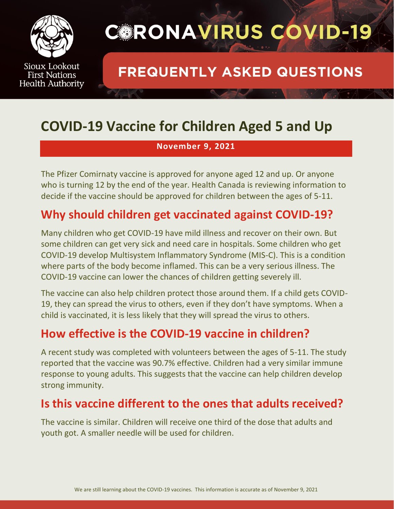

## **CORONAVIRUS COVID-19**

### **FREQUENTLY ASKED QUESTIONS**

## **COVID-19 Vaccine for Children Aged 5 and Up**

#### **November 9, 2021**

The Pfizer Comirnaty vaccine is approved for anyone aged 12 and up. Or anyone who is turning 12 by the end of the year. Health Canada is reviewing information to decide if the vaccine should be approved for children between the ages of 5-11.

#### **Why should children get vaccinated against COVID-19?**

Many children who get COVID-19 have mild illness and recover on their own. But some children can get very sick and need care in hospitals. Some children who get COVID-19 develop Multisystem Inflammatory Syndrome (MIS-C). This is a condition where parts of the body become inflamed. This can be a very serious illness. The COVID-19 vaccine can lower the chances of children getting severely ill.

The vaccine can also help children protect those around them. If a child gets COVID-19, they can spread the virus to others, even if they don't have symptoms. When a child is vaccinated, it is less likely that they will spread the virus to others.

#### **How effective is the COVID-19 vaccine in children?**

A recent study was completed with volunteers between the ages of 5-11. The study reported that the vaccine was 90.7% effective. Children had a very similar immune response to young adults. This suggests that the vaccine can help children develop strong immunity.

#### **Is this vaccine different to the ones that adults received?**

The vaccine is similar. Children will receive one third of the dose that adults and youth got. A smaller needle will be used for children.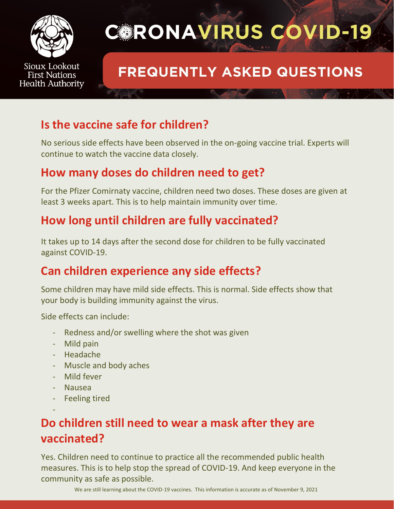

# **CORONAVIRUS COVID-19**

## **FREQUENTLY ASKED QUESTIONS**

#### **Is the vaccine safe for children?**

No serious side effects have been observed in the on-going vaccine trial. Experts will continue to watch the vaccine data closely.

#### **How many doses do children need to get?**

For the Pfizer Comirnaty vaccine, children need two doses. These doses are given at least 3 weeks apart. This is to help maintain immunity over time.

#### **How long until children are fully vaccinated?**

It takes up to 14 days after the second dose for children to be fully vaccinated against COVID-19.

#### **Can children experience any side effects?**

Some children may have mild side effects. This is normal. Side effects show that your body is building immunity against the virus.

Side effects can include:

- Redness and/or swelling where the shot was given
- Mild pain
- Headache
- Muscle and body aches
- Mild fever
- Nausea

-

**Feeling tired** 

### **Do children still need to wear a mask after they are vaccinated?**

Yes. Children need to continue to practice all the recommended public health measures. This is to help stop the spread of COVID-19. And keep everyone in the community as safe as possible.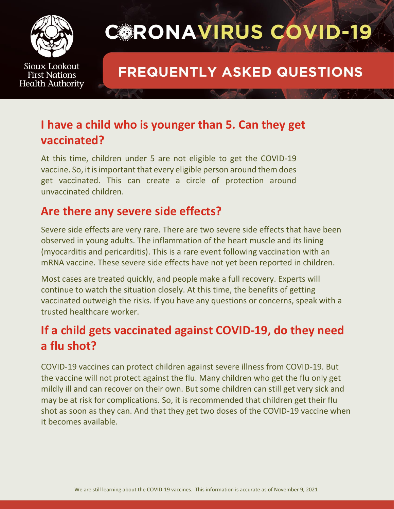

## **CORONAVIRUS COVID-19**

### **FREQUENTLY ASKED QUESTIONS**

#### **I have a child who is younger than 5. Can they get vaccinated?**

At this time, children under 5 are not eligible to get the COVID-19 vaccine. So, it is important that every eligible person around them does get vaccinated. This can create a circle of protection around unvaccinated children.

#### **Are there any severe side effects?**

Severe side effects are very rare. There are two severe side effects that have been observed in young adults. The inflammation of the heart muscle and its lining (myocarditis and pericarditis). This is a rare event following vaccination with an mRNA vaccine. These severe side effects have not yet been reported in children.

Most cases are treated quickly, and people make a full recovery. Experts will continue to watch the situation closely. At this time, the benefits of getting vaccinated outweigh the risks. If you have any questions or concerns, speak with a trusted healthcare worker.

#### **If a child gets vaccinated against COVID-19, do they need a flu shot?**

COVID-19 vaccines can protect children against severe illness from COVID-19. But the vaccine will not protect against the flu. Many children who get the flu only get mildly ill and can recover on their own. But some children can still get very sick and may be at risk for complications. So, it is recommended that children get their flu shot as soon as they can. And that they get two doses of the COVID-19 vaccine when it becomes available.